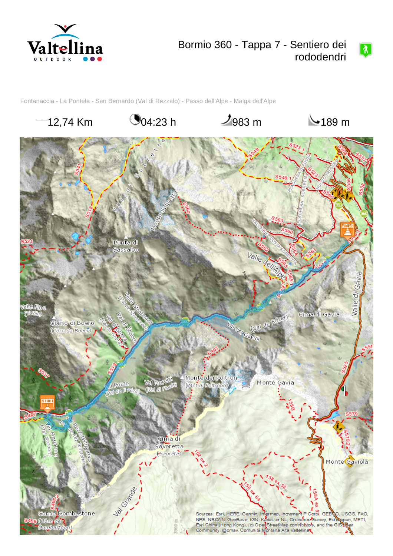

# Bormio 360 - Tappa 7 - Sentiero dei rododendri

 $\boxed{\lambda}$ 

Fontanaccia - La Pontela - San Bernardo (Val di Rezzalo) - Passo dell'Alpe - Malga dell'Alpe